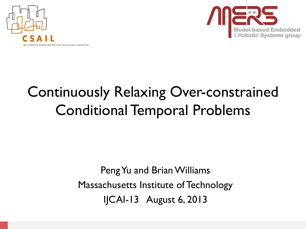



# Continuously Relaxing Over-constrained Conditional Temporal Problems

PengYu and Brian Williams Massachusetts Institute of Technology IJCAI-13 August 6, 2013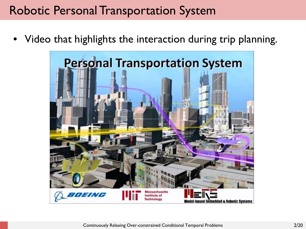### Robotic Personal Transportation System

Video that highlights the interaction during trip planning.

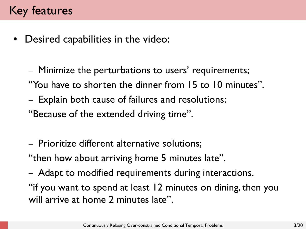Desired capabilities in the video:

– Minimize the perturbations to users' requirements; "You have to shorten the dinner from 15 to 10 minutes".

– Explain both cause of failures and resolutions;

"Because of the extended driving time".

– Prioritize different alternative solutions;

"then how about arriving home 5 minutes late".

– Adapt to modified requirements during interactions.

"if you want to spend at least 12 minutes on dining, then you will arrive at home 2 minutes late".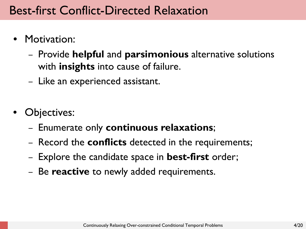### Best-first Conflict-Directed Relaxation

- Motivation:
	- Provide **helpful** and **parsimonious** alternative solutions with **insights** into cause of failure.
	- Like an experienced assistant.
- Objectives:
	- Enumerate only **continuous relaxations**;
	- Record the **conflicts** detected in the requirements;
	- Explore the candidate space in **best-first** order;
	- Be **reactive** to newly added requirements.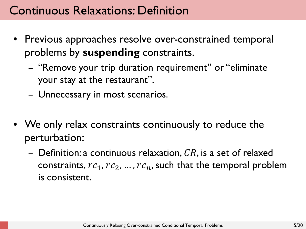### Continuous Relaxations: Definition

- Previous approaches resolve over-constrained temporal problems by **suspending** constraints.
	- "Remove your trip duration requirement" or "eliminate your stay at the restaurant".
	- Unnecessary in most scenarios.
- We only relax constraints continuously to reduce the perturbation:
	- Definition: a continuous relaxation,  $CR$ , is a set of relaxed constraints,  $rc_1$ ,  $rc_2$ , ...,  $rc_n$ , such that the temporal problem is consistent.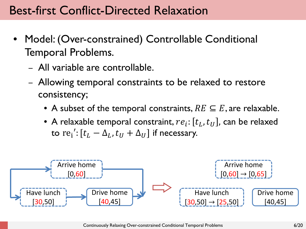### Best-first Conflict-Directed Relaxation

- Model: (Over-constrained) Controllable Conditional Temporal Problems.
	- All variable are controllable.
	- Allowing temporal constraints to be relaxed to restore consistency;
		- A subset of the temporal constraints,  $RE \subseteq E$ , are relaxable.
		- A relaxable temporal constraint,  $re_i$ :  $[t_L, t_U]$ , can be relaxed to  $\text{re}_\text{i}'$ :  $[t_L - \Delta_L, t_U + \Delta_U]$  if necessary.

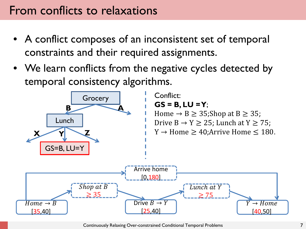### From conflicts to relaxations

- A conflict composes of an inconsistent set of temporal constraints and their required assignments.
- We learn conflicts from the negative cycles detected by temporal consistency algorithms.



Continuously Relaxing Over-constrained Conditional Temporal Problems 7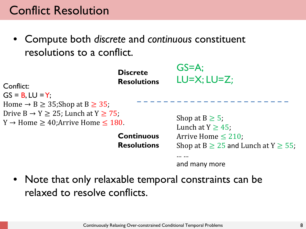### Conflict Resolution

• Compute both *discrete* and *continuous* constituent resolutions to a conflict.

| Conflict:<br>$GS = B$ , $LU = Y$ ;                                                                                  | <b>Discrete</b><br><b>Resolutions</b>   | $GS=A$ :<br>$LU=X;LU=Z;$                                                                                                       |
|---------------------------------------------------------------------------------------------------------------------|-----------------------------------------|--------------------------------------------------------------------------------------------------------------------------------|
| Home $\rightarrow$ B $\geq$ 35; Shop at B $\geq$ 35;                                                                |                                         |                                                                                                                                |
| Drive $B \rightarrow Y \ge 25$ ; Lunch at $Y \ge 75$ ;<br>$Y \rightarrow$ Home $\geq 40$ ; Arrive Home $\leq 180$ . | <b>Continuous</b><br><b>Resolutions</b> | Shop at $B \geq 5$ ;<br>Lunch at $Y \geq 45$ ;<br>Arrive Home $\leq$ 210;<br>Shop at B $\geq$ 25 and Lunch at Y $\geq$ 55;<br> |
|                                                                                                                     |                                         | and many more                                                                                                                  |

• Note that only relaxable temporal constraints can be relaxed to resolve conflicts.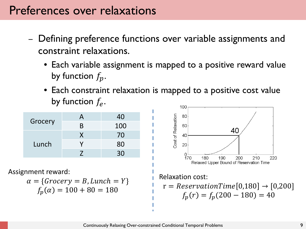- Defining preference functions over variable assignments and constraint relaxations.
	- Each variable assignment is mapped to a positive reward value by function  $f_p$ .
	- Each constraint relaxation is mapped to a positive cost value by function  $f_e$ .

| Grocery | A          | 40  |
|---------|------------|-----|
|         | B          | 100 |
| Lunch   | X          | 70  |
|         |            | 80  |
|         | $\sqrt{2}$ | 30  |

Assignment reward:

$$
\alpha = \{Grocery = B, Lunch = Y\}
$$

$$
f_p(\alpha) = 100 + 80 = 180
$$

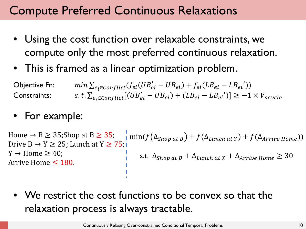### Compute Preferred Continuous Relaxations

- Using the cost function over relaxable constraints, we compute only the most preferred continuous relaxation.
- This is framed as a linear optimization problem.

$$
\begin{array}{ll}\n\text{Objective Fn:} & \min \sum_{e_i \in conflict}(f_{ei}(UB'_{ei} - UB_{ei}) + f_{ei}(LB_{ei} - LB_{ei}')) \\
\text{Constraints:} & \text{s.t.} \sum_{e_i \in Conflict} [(UB'_{ei} - UB_{ei}) + (LB_{ei} - LB_{ei})] \ge -1 \times V_{ncycle}\n\end{array}
$$

#### • For example:

Home  $\rightarrow$  B  $\geq$  35; Shop at B  $\geq$  35; Drive  $B \rightarrow Y \geq 25$ ; Lunch at  $Y \geq 75$ ;  $Y \rightarrow$  Home  $\geq 40$ ; Arrive Home  $\leq 180$ .  $\lim_{\Delta f \to 0} (f(\Delta_{\text{Shop at }B}) + f(\Delta_{\text{Lunch at }Y}) + f(\Delta_{\text{Arrive Home}}))$ s.t.  $\Delta_{\text{Shop at } B} + \Delta_{\text{Lunch at } X} + \Delta_{\text{Arrive Home}} \geq 30$ 

• We restrict the cost functions to be convex so that the relaxation process is always tractable.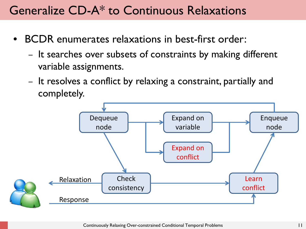### Generalize CD-A\* to Continuous Relaxations

- BCDR enumerates relaxations in best-first order:
	- It searches over subsets of constraints by making different variable assignments.
	- It resolves a conflict by relaxing a constraint, partially and completely.

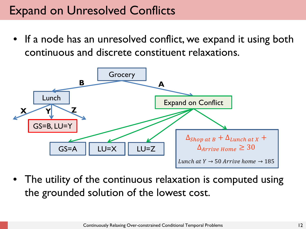### Expand on Unresolved Conflicts

• If a node has an unresolved conflict, we expand it using both continuous and discrete constituent relaxations.



• The utility of the continuous relaxation is computed using the grounded solution of the lowest cost.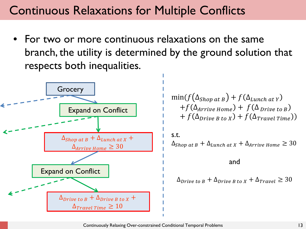### Continuous Relaxations for Multiple Conflicts

• For two or more continuous relaxations on the same branch, the utility is determined by the ground solution that respects both inequalities.



$$
\min(f(\Delta_{\text{Shop at B}}) + f(\Delta_{\text{Lunch at Y}}) + f(\Delta_{\text{Arrive Home}}) + f(\Delta_{\text{Drive to B}}) + f(\Delta_{\text{Drive B to X}}) + f(\Delta_{\text{Travel Time}}))
$$

s.t.  $\Delta$ <sub>Shop at B</sub> +  $\Delta$ <sub>Lunch at X</sub> +  $\Delta$ <sub>Arrive Home</sub>  $\geq 30$ 

and

$$
\Delta_{\text{Drive to }B} + \Delta_{\text{Drive }B\text{ to }X} + \Delta_{\text{Travel}} \geq 30
$$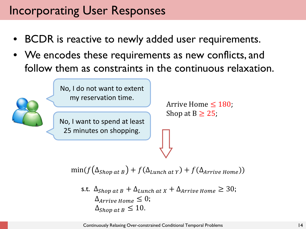### Incorporating User Responses

- BCDR is reactive to newly added user requirements.
- We encodes these requirements as new conflicts, and follow them as constraints in the continuous relaxation.

No, I want to spend at least 25 minutes on shopping. No, I do not want to extent my reservation time. Arrive Home  $\leq 180$ ; Shop at  $B \geq 25$ ;

$$
\min(f(\Delta_{\text{Shop at }B}) + f(\Delta_{\text{Lunch at }Y}) + f(\Delta_{\text{Arrive Home}}))
$$

s.t. 
$$
\Delta_{Shop \, at \, B} + \Delta_{Lunch \, at \, X} + \Delta_{Arrive \, Home} \geq 30;
$$
  
\n $\Delta_{Arrive \, Home} \leq 0;$   
\n $\Delta_{Shop \, at \, B} \leq 10.$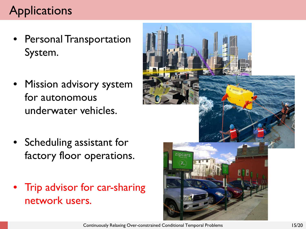## **Applications**

- Personal Transportation System.
- Mission advisory system for autonomous underwater vehicles.
- Scheduling assistant for factory floor operations.
- Trip advisor for car-sharing network users.

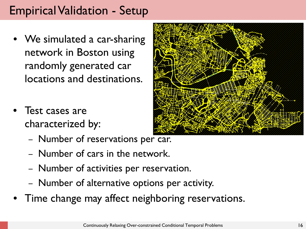### Empirical Validation - Setup

- We simulated a car-sharing network in Boston using randomly generated car locations and destinations.
- Test cases are characterized by:
	- Number of reservations per car.
	- Number of cars in the network.
	- Number of activities per reservation.
	- Number of alternative options per activity.
- Time change may affect neighboring reservations.



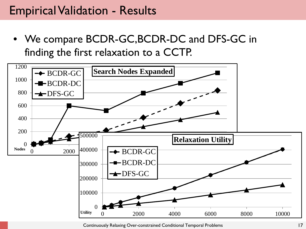#### Empirical Validation - Results

• We compare BCDR-GC,BCDR-DC and DFS-GC in finding the first relaxation to a CCTP.



Continuously Relaxing Over-constrained Conditional Temporal Problems 17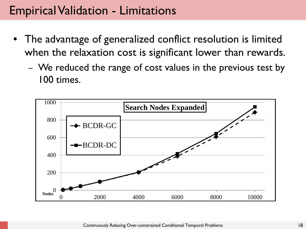### Empirical Validation - Limitations

- The advantage of generalized conflict resolution is limited when the relaxation cost is significant lower than rewards.
	- We reduced the range of cost values in the previous test by 100 times.

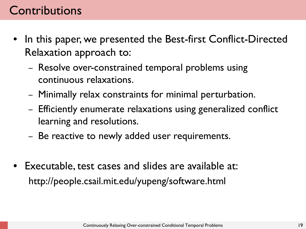### **Contributions**

- In this paper, we presented the Best-first Conflict-Directed Relaxation approach to:
	- Resolve over-constrained temporal problems using continuous relaxations.
	- Minimally relax constraints for minimal perturbation.
	- Efficiently enumerate relaxations using generalized conflict learning and resolutions.
	- Be reactive to newly added user requirements.
- Executable, test cases and slides are available at: http://people.csail.mit.edu/yupeng/software.html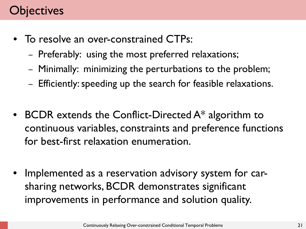### **bjectives**

- To resolve an over-constrained CTPs:
	- Preferably: using the most preferred relaxations;
	- Minimally: minimizing the perturbations to the problem;
	- Efficiently: speeding up the search for feasible relaxations.
- BCDR extends the Conflict-Directed A\* algorithm to continuous variables, constraints and preference functions for best-first relaxation enumeration.
- Implemented as a reservation advisory system for carsharing networks, BCDR demonstrates significant improvements in performance and solution quality.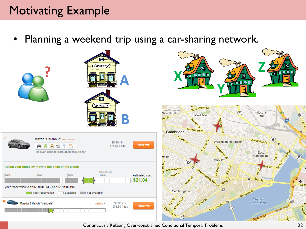### Motivating Example

Planning a weekend trip using a car-sharing network.



Continuously Relaxing Over-constrained Conditional Temporal Problems 22

 $(99)$ 

 $\Theta$ 

 $(28)$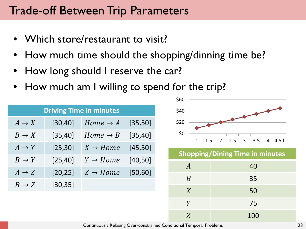### Trade-off Between Trip Parameters

- Which store/restaurant to visit?
- How much time should the shopping/dinning time be?
- How long should I reserve the car?
- How much am I willing to spend for the trip?

| <b>Driving Time in minutes</b> |          |                      |          |  |  |
|--------------------------------|----------|----------------------|----------|--|--|
| $A \rightarrow X$              | [30, 40] | $Home \rightarrow A$ | [35, 50] |  |  |
| $B \to X$                      | [35, 40] | $Home \rightarrow B$ | [35, 40] |  |  |
| $A \rightarrow Y$              | [25, 30] | $X \rightarrow Home$ | [45, 50] |  |  |
| $B \rightarrow Y$              | [25, 40] | $Y \rightarrow Home$ | [40, 50] |  |  |
| $A \rightarrow Z$              | [20, 25] | $Z \rightarrow Home$ | [50, 60] |  |  |
| $B \to Z$                      | [30, 35] |                      |          |  |  |



**Shopping/Dining Time in minutes**

| $\overline{A}$   | 40  |
|------------------|-----|
| $\boldsymbol{B}$ | 35  |
| X                | 50  |
| $\overline{Y}$   | 75  |
| Z                | 100 |

Continuously Relaxing Over-constrained Conditional Temporal Problems 23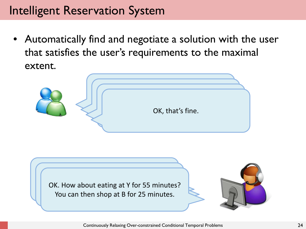### Intelligent Reservation System

• Automatically find and negotiate a solution with the user that satisfies the user's requirements to the maximal extent.





Continuously Relaxing Over-constrained Conditional Temporal Problems 24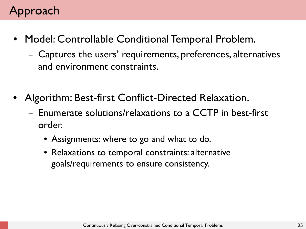### Approach

- Model: Controllable Conditional Temporal Problem.
	- Captures the users' requirements, preferences, alternatives and environment constraints.
- Algorithm: Best-first Conflict-Directed Relaxation.
	- Enumerate solutions/relaxations to a CCTP in best-first order.
		- Assignments: where to go and what to do.
		- Relaxations to temporal constraints: alternative goals/requirements to ensure consistency.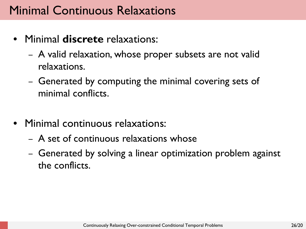### Minimal Continuous Relaxations

- Minimal **discrete** relaxations:
	- A valid relaxation, whose proper subsets are not valid relaxations.
	- Generated by computing the minimal covering sets of minimal conflicts.
- Minimal continuous relaxations:
	- A set of continuous relaxations whose
	- Generated by solving a linear optimization problem against the conflicts.